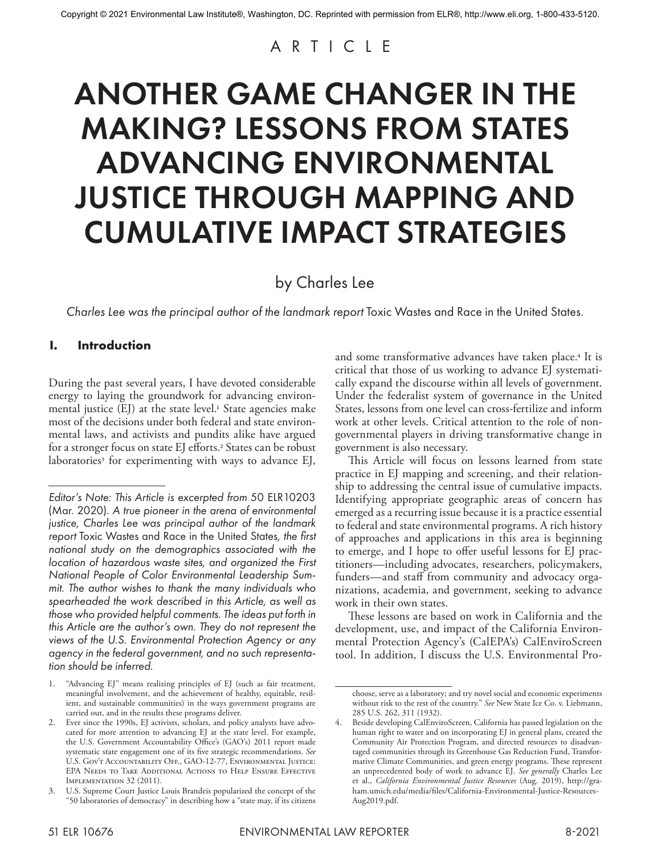# ARTICLE

# ANOTHER GAME CHANGER IN THE MAKING? LESSONS FROM STATES ADVANCING ENVIRONMENTAL JUSTICE THROUGH MAPPING AND CUMULATIVE IMPACT STRATEGIES

by Charles Lee

*Charles Lee was the principal author of the landmark report* Toxic Wastes and Race in the United States.

# **I. Introduction**

During the past several years, I have devoted considerable energy to laying the groundwork for advancing environmental justice (EJ) at the state level.<sup>1</sup> State agencies make most of the decisions under both federal and state environmental laws, and activists and pundits alike have argued for a stronger focus on state EJ efforts.<sup>2</sup> States can be robust laboratories<sup>3</sup> for experimenting with ways to advance EJ, and some transformative advances have taken place.4 It is critical that those of us working to advance EJ systematically expand the discourse within all levels of government. Under the federalist system of governance in the United States, lessons from one level can cross-fertilize and inform work at other levels. Critical attention to the role of nongovernmental players in driving transformative change in government is also necessary.

This Article will focus on lessons learned from state practice in EJ mapping and screening, and their relationship to addressing the central issue of cumulative impacts. Identifying appropriate geographic areas of concern has emerged as a recurring issue because it is a practice essential to federal and state environmental programs. A rich history of approaches and applications in this area is beginning to emerge, and I hope to offer useful lessons for EJ practitioners—including advocates, researchers, policymakers, funders—and staff from community and advocacy organizations, academia, and government, seeking to advance work in their own states.

These lessons are based on work in California and the development, use, and impact of the California Environmental Protection Agency's (CalEPA's) CalEnviroScreen tool. In addition, I discuss the U.S. Environmental Pro-

*Editor's Note: This Article is excerpted from* 50 ELR10203 (Mar. 2020)*. A true pioneer in the arena of environmental justice, Charles Lee was principal author of the landmark report* Toxic Wastes and Race in the United States*, the first national study on the demographics associated with the location of hazardous waste sites, and organized the First National People of Color Environmental Leadership Summit. The author wishes to thank the many individuals who spearheaded the work described in this Article, as well as those who provided helpful comments. The ideas put forth in this Article are the author's own. They do not represent the views of the U.S. Environmental Protection Agency or any agency in the federal government, and no such representation should be inferred.*

<sup>1.</sup> "Advancing EJ" means realizing principles of EJ (such as fair treatment, meaningful involvement, and the achievement of healthy, equitable, resilient, and sustainable communities) in the ways government programs are carried out, and in the results these programs deliver.

<sup>2.</sup> Ever since the 1990s, EJ activists, scholars, and policy analysts have advocated for more attention to advancing EJ at the state level. For example, the U.S. Government Accountability Office's (GAO's) 2011 report made systematic state engagement one of its five strategic recommendations. *See* U.S. Gov't Accountability Off., GAO-12-77, Environmental Justice: EPA Needs to Take Additional Actions to Help Ensure Effective IMPLEMENTATION 32 (2011).

U.S. Supreme Court Justice Louis Brandeis popularized the concept of the "50 laboratories of democracy" in describing how a "state may, if its citizens

choose, serve as a laboratory; and try novel social and economic experiments without risk to the rest of the country." *See* New State Ice Co. v. Liebmann, 285 U.S. 262, 311 (1932).

<sup>4.</sup> Beside developing CalEnviroScreen, California has passed legislation on the human right to water and on incorporating EJ in general plans, created the Community Air Protection Program, and directed resources to disadvantaged communities through its Greenhouse Gas Reduction Fund, Transformative Climate Communities, and green energy programs. These represent an unprecedented body of work to advance EJ. *See generally* Charles Lee et al., *California Environmental Justice Resources* (Aug. 2019), http://graham.umich.edu/media/files/California-Environmental-Justice-Resources-Aug2019.pdf.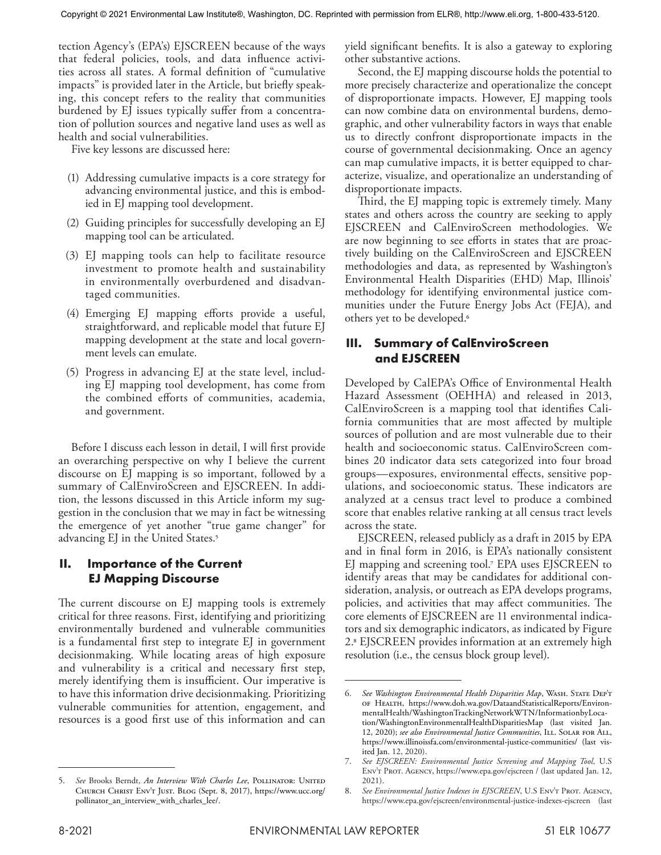tection Agency's (EPA's) EJSCREEN because of the ways that federal policies, tools, and data influence activities across all states. A formal definition of "cumulative impacts" is provided later in the Article, but briefly speaking, this concept refers to the reality that communities burdened by EJ issues typically suffer from a concentration of pollution sources and negative land uses as well as health and social vulnerabilities.

Five key lessons are discussed here:

- (1) Addressing cumulative impacts is a core strategy for advancing environmental justice, and this is embodied in EJ mapping tool development.
- (2) Guiding principles for successfully developing an EJ mapping tool can be articulated.
- (3) EJ mapping tools can help to facilitate resource investment to promote health and sustainability in environmentally overburdened and disadvantaged communities.
- (4) Emerging EJ mapping efforts provide a useful, straightforward, and replicable model that future EJ mapping development at the state and local government levels can emulate.
- (5) Progress in advancing EJ at the state level, including EJ mapping tool development, has come from the combined efforts of communities, academia, and government.

Before I discuss each lesson in detail, I will first provide an overarching perspective on why I believe the current discourse on EJ mapping is so important, followed by a summary of CalEnviroScreen and EJSCREEN. In addition, the lessons discussed in this Article inform my suggestion in the conclusion that we may in fact be witnessing the emergence of yet another "true game changer" for advancing EJ in the United States.<sup>5</sup>

# **II. Importance of the Current EJ Mapping Discourse**

The current discourse on EJ mapping tools is extremely critical for three reasons. First, identifying and prioritizing environmentally burdened and vulnerable communities is a fundamental first step to integrate EJ in government decisionmaking. While locating areas of high exposure and vulnerability is a critical and necessary first step, merely identifying them is insufficient. Our imperative is to have this information drive decisionmaking. Prioritizing vulnerable communities for attention, engagement, and resources is a good first use of this information and can yield significant benefits. It is also a gateway to exploring other substantive actions.

Second, the EJ mapping discourse holds the potential to more precisely characterize and operationalize the concept of disproportionate impacts. However, EJ mapping tools can now combine data on environmental burdens, demographic, and other vulnerability factors in ways that enable us to directly confront disproportionate impacts in the course of governmental decisionmaking. Once an agency can map cumulative impacts, it is better equipped to characterize, visualize, and operationalize an understanding of disproportionate impacts.

Third, the EJ mapping topic is extremely timely. Many states and others across the country are seeking to apply EJSCREEN and CalEnviroScreen methodologies. We are now beginning to see efforts in states that are proactively building on the CalEnviroScreen and EJSCREEN methodologies and data, as represented by Washington's Environmental Health Disparities (EHD) Map, Illinois' methodology for identifying environmental justice communities under the Future Energy Jobs Act (FEJA), and others yet to be developed.6

# **III. Summary of CalEnviroScreen and EJSCREEN**

Developed by CalEPA's Office of Environmental Health Hazard Assessment (OEHHA) and released in 2013, CalEnviroScreen is a mapping tool that identifies California communities that are most affected by multiple sources of pollution and are most vulnerable due to their health and socioeconomic status. CalEnviroScreen combines 20 indicator data sets categorized into four broad groups—exposures, environmental effects, sensitive populations, and socioeconomic status. These indicators are analyzed at a census tract level to produce a combined score that enables relative ranking at all census tract levels across the state.

EJSCREEN, released publicly as a draft in 2015 by EPA and in final form in 2016, is EPA's nationally consistent EJ mapping and screening tool.7 EPA uses EJSCREEN to identify areas that may be candidates for additional consideration, analysis, or outreach as EPA develops programs, policies, and activities that may affect communities. The core elements of EJSCREEN are 11 environmental indicators and six demographic indicators, as indicated by Figure 2.8 EJSCREEN provides information at an extremely high resolution (i.e., the census block group level).

See Brooks Berndt, *An Interview With Charles Lee*, POLLINATOR: UNITED Church Christ Env't Just. Blog (Sept. 8, 2017), https://www.ucc.org/ pollinator\_an\_interview\_with\_charles\_lee/.

<sup>6.</sup> *See Washington Environmental Health Disparities Map*, Wash. State Dep't of Health, https://www.doh.wa.gov/DataandStatisticalReports/EnvironmentalHealth/WashingtonTrackingNetworkWTN/InformationbyLocation/WashingtonEnvironmentalHealthDisparitiesMap (last visited Jan. 12, 2020); *see also Environmental Justice Communities*, Ill. Solar for All, https://www.illinoissfa.com/environmental-justice-communities/ (last visited Jan. 12, 2020).

<sup>7.</sup> *See EJSCREEN: Environmental Justice Screening and Mapping Tool*, U.S Env't Prot. Agency, https://www.epa.gov/ejscreen / (last updated Jan. 12, 2021).

See Environmental Justice Indexes in EJSCREEN, U.S ENVT PROT. AGENCY, https://www.epa.gov/ejscreen/environmental-justice-indexes-ejscreen (last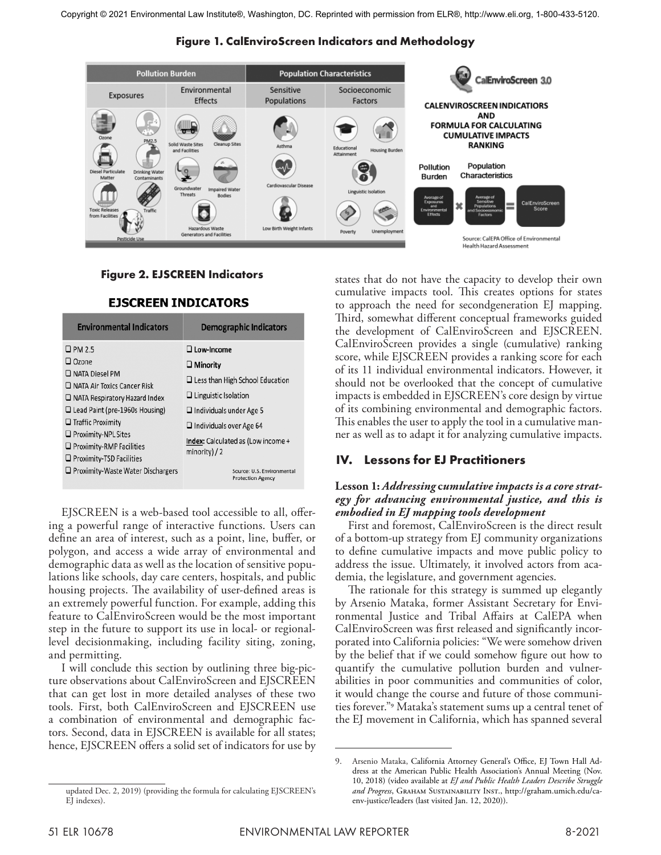



# **Figure 2. EJSCREEN Indicators**

| <b>Environmental Indicators</b>                                                                                                                                                                                                                                               | <b>Demographic Indicators</b>                                                                                                                                                                                                  |
|-------------------------------------------------------------------------------------------------------------------------------------------------------------------------------------------------------------------------------------------------------------------------------|--------------------------------------------------------------------------------------------------------------------------------------------------------------------------------------------------------------------------------|
| $\square$ PM 2.5<br>$\Box$ Ozone<br>$\Box$ NATA Diesel PM<br>$\Box$ NATA Air Toxics Cancer Risk<br>$\Box$ NATA Respiratory Hazard Index<br>$\Box$ Lead Paint (pre-1960s Housing)<br>$\Box$ Traffic Proximity<br>$\Box$ Proximity-NPL Sites<br>$\Box$ Proximity-RMP Facilities | $\Box$ Low-Income<br>$\Box$ Minority<br>$\Box$ Less than High School Education<br>$\Box$ Linguistic Isolation<br>$\Box$ Individuals under Age 5<br>$\Box$ Individuals over Age 64<br><b>Index:</b> Calculated as (Low income + |
| $\Box$ Proximity-TSD Facilities<br>$\Box$ Proximity-Waste Water Dischargers                                                                                                                                                                                                   | $minority$ ) / 2<br>Source: U.S. Environmental<br><b>Protection Agency</b>                                                                                                                                                     |

#### **EJSCREEN INDICATORS**

EJSCREEN is a web-based tool accessible to all, offering a powerful range of interactive functions. Users can define an area of interest, such as a point, line, buffer, or polygon, and access a wide array of environmental and demographic data as well as the location of sensitive populations like schools, day care centers, hospitals, and public housing projects. The availability of user-defined areas is an extremely powerful function. For example, adding this feature to CalEnviroScreen would be the most important step in the future to support its use in local- or regionallevel decisionmaking, including facility siting, zoning, and permitting.

I will conclude this section by outlining three big-picture observations about CalEnviroScreen and EJSCREEN that can get lost in more detailed analyses of these two tools. First, both CalEnviroScreen and EJSCREEN use a combination of environmental and demographic factors. Second, data in EJSCREEN is available for all states; hence, EJSCREEN offers a solid set of indicators for use by states that do not have the capacity to develop their own cumulative impacts tool. This creates options for states to approach the need for secondgeneration EJ mapping. Third, somewhat different conceptual frameworks guided the development of CalEnviroScreen and EJSCREEN. CalEnviroScreen provides a single (cumulative) ranking score, while EJSCREEN provides a ranking score for each of its 11 individual environmental indicators. However, it should not be overlooked that the concept of cumulative impacts is embedded in EJSCREEN's core design by virtue of its combining environmental and demographic factors. This enables the user to apply the tool in a cumulative manner as well as to adapt it for analyzing cumulative impacts.

# **IV. Lessons for EJ Practitioners**

#### **Lesson 1:** *Addressing* **c***umulative impacts is a core strategy for advancing environmental justice, and this is embodied in EJ mapping tools development*

First and foremost, CalEnviroScreen is the direct result of a bottom-up strategy from EJ community organizations to define cumulative impacts and move public policy to address the issue. Ultimately, it involved actors from academia, the legislature, and government agencies.

The rationale for this strategy is summed up elegantly by Arsenio Mataka, former Assistant Secretary for Environmental Justice and Tribal Affairs at CalEPA when CalEnviroScreen was first released and significantly incorporated into California policies: "We were somehow driven by the belief that if we could somehow figure out how to quantify the cumulative pollution burden and vulnerabilities in poor communities and communities of color, it would change the course and future of those communities forever."9 Mataka's statement sums up a central tenet of the EJ movement in California, which has spanned several

<sup>9.</sup> Arsenio Mataka, California Attorney General's Office, EJ Town Hall Address at the American Public Health Association's Annual Meeting (Nov. 10, 2018) (video available at *EJ and Public Health Leaders Describe Struggle and Progress*, Graham Sustainability Inst., http://graham.umich.edu/caenv-justice/leaders (last visited Jan. 12, 2020)).

updated Dec. 2, 2019) (providing the formula for calculating EJSCREEN's EI indexes).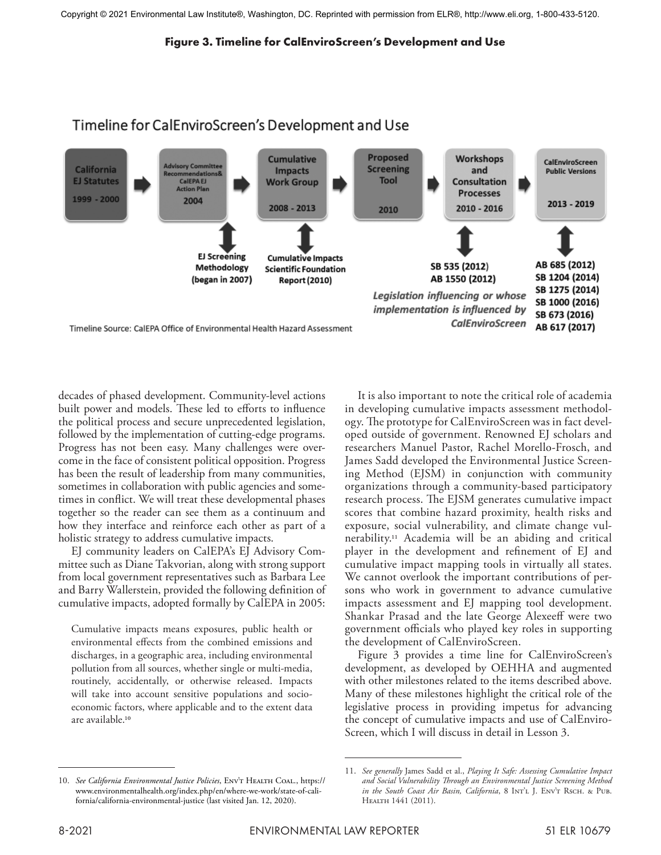#### **Figure 3. Timeline for CalEnviroScreen's Development and Use**



decades of phased development. Community-level actions built power and models. These led to efforts to influence the political process and secure unprecedented legislation, followed by the implementation of cutting-edge programs. Progress has not been easy. Many challenges were overcome in the face of consistent political opposition. Progress has been the result of leadership from many communities, sometimes in collaboration with public agencies and sometimes in conflict. We will treat these developmental phases together so the reader can see them as a continuum and how they interface and reinforce each other as part of a holistic strategy to address cumulative impacts.

EJ community leaders on CalEPA's EJ Advisory Committee such as Diane Takvorian, along with strong support from local government representatives such as Barbara Lee and Barry Wallerstein, provided the following definition of cumulative impacts, adopted formally by CalEPA in 2005:

Cumulative impacts means exposures, public health or environmental effects from the combined emissions and discharges, in a geographic area, including environmental pollution from all sources, whether single or multi-media, routinely, accidentally, or otherwise released. Impacts will take into account sensitive populations and socioeconomic factors, where applicable and to the extent data are available.10

It is also important to note the critical role of academia in developing cumulative impacts assessment methodology. The prototype for CalEnviroScreen was in fact developed outside of government. Renowned EJ scholars and researchers Manuel Pastor, Rachel Morello-Frosch, and James Sadd developed the Environmental Justice Screening Method (EJSM) in conjunction with community organizations through a community-based participatory research process. The EJSM generates cumulative impact scores that combine hazard proximity, health risks and exposure, social vulnerability, and climate change vulnerability.11 Academia will be an abiding and critical player in the development and refinement of EJ and cumulative impact mapping tools in virtually all states. We cannot overlook the important contributions of persons who work in government to advance cumulative impacts assessment and EJ mapping tool development. Shankar Prasad and the late George Alexeeff were two government officials who played key roles in supporting the development of CalEnviroScreen.

Figure 3 provides a time line for CalEnviroScreen's development, as developed by OEHHA and augmented with other milestones related to the items described above. Many of these milestones highlight the critical role of the legislative process in providing impetus for advancing the concept of cumulative impacts and use of CalEnviro-Screen, which I will discuss in detail in Lesson 3.

<sup>10.</sup> *See California Environmental Justice Policies*, Env't Health Coal., https:// www.environmentalhealth.org/index.php/en/where-we-work/state-of-california/california-environmental-justice (last visited Jan. 12, 2020).

<sup>11.</sup> *See generally* James Sadd et al., *Playing It Safe: Assessing Cumulative Impact and Social Vulnerability Through an Environmental Justice Screening Method in the South Coast Air Basin, California*, 8 Int'l J. Env't Rsch. & Pub. Health 1441 (2011).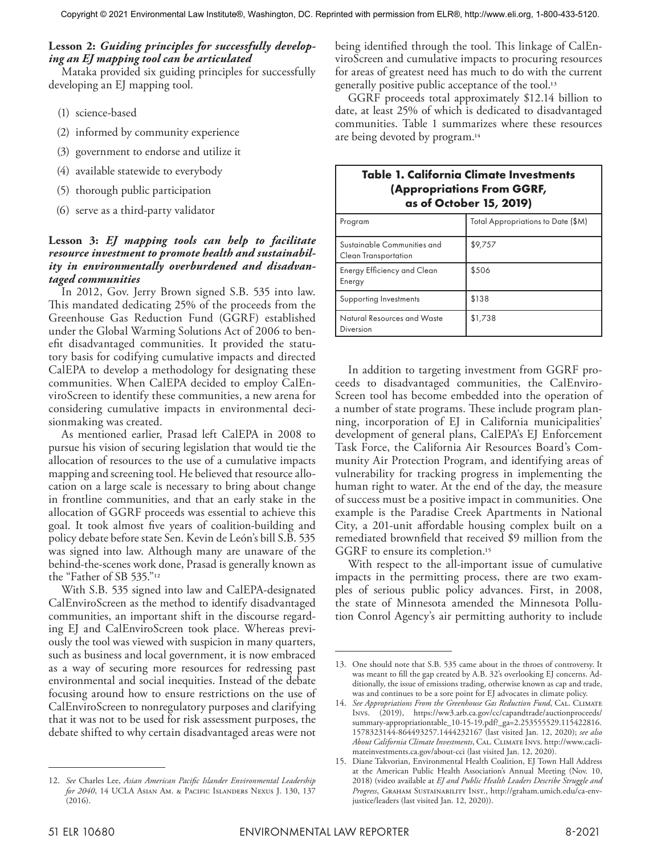#### **Lesson 2:** *Guiding principles for successfully developing an EJ mapping tool can be articulated*

Mataka provided six guiding principles for successfully developing an EJ mapping tool.

- (1) science-based
- (2) informed by community experience
- (3) government to endorse and utilize it
- (4) available statewide to everybody
- (5) thorough public participation
- (6) serve as a third-party validator

#### **Lesson 3:** *EJ mapping tools can help to facilitate resource investment to promote health and sustainability in environmentally overburdened and disadvantaged communities*

In 2012, Gov. Jerry Brown signed S.B. 535 into law. This mandated dedicating 25% of the proceeds from the Greenhouse Gas Reduction Fund (GGRF) established under the Global Warming Solutions Act of 2006 to benefit disadvantaged communities. It provided the statutory basis for codifying cumulative impacts and directed CalEPA to develop a methodology for designating these communities. When CalEPA decided to employ CalEnviroScreen to identify these communities, a new arena for considering cumulative impacts in environmental decisionmaking was created.

As mentioned earlier, Prasad left CalEPA in 2008 to pursue his vision of securing legislation that would tie the allocation of resources to the use of a cumulative impacts mapping and screening tool. He believed that resource allocation on a large scale is necessary to bring about change in frontline communities, and that an early stake in the allocation of GGRF proceeds was essential to achieve this goal. It took almost five years of coalition-building and policy debate before state Sen. Kevin de León's bill S.B. 535 was signed into law. Although many are unaware of the behind-the-scenes work done, Prasad is generally known as the "Father of SB 535."12

With S.B. 535 signed into law and CalEPA-designated CalEnviroScreen as the method to identify disadvantaged communities, an important shift in the discourse regarding EJ and CalEnviroScreen took place. Whereas previously the tool was viewed with suspicion in many quarters, such as business and local government, it is now embraced as a way of securing more resources for redressing past environmental and social inequities. Instead of the debate focusing around how to ensure restrictions on the use of CalEnviroScreen to nonregulatory purposes and clarifying that it was not to be used for risk assessment purposes, the debate shifted to why certain disadvantaged areas were not

being identified through the tool. This linkage of CalEnviroScreen and cumulative impacts to procuring resources for areas of greatest need has much to do with the current generally positive public acceptance of the tool.13

GGRF proceeds total approximately \$12.14 billion to date, at least 25% of which is dedicated to disadvantaged communities. Table 1 summarizes where these resources are being devoted by program.14

| <b>Table 1. California Climate Investments</b><br>(Appropriations From GGRF,<br>as of October 15, 2019) |                                    |
|---------------------------------------------------------------------------------------------------------|------------------------------------|
| Program                                                                                                 | Total Appropriations to Date (\$M) |
| Sustainable Communities and<br><b>Clean Transportation</b>                                              | \$9,757                            |
| Energy Efficiency and Clean<br>Energy                                                                   | \$506                              |
| Supporting Investments                                                                                  | \$138                              |
| Natural Resources and Waste<br>Diversion                                                                | \$1,738                            |

In addition to targeting investment from GGRF proceeds to disadvantaged communities, the CalEnviro-Screen tool has become embedded into the operation of a number of state programs. These include program planning, incorporation of EJ in California municipalities' development of general plans, CalEPA's EJ Enforcement Task Force, the California Air Resources Board's Community Air Protection Program, and identifying areas of vulnerability for tracking progress in implementing the human right to water. At the end of the day, the measure of success must be a positive impact in communities. One example is the Paradise Creek Apartments in National City, a 201-unit affordable housing complex built on a remediated brownfield that received \$9 million from the GGRF to ensure its completion.<sup>15</sup>

With respect to the all-important issue of cumulative impacts in the permitting process, there are two examples of serious public policy advances. First, in 2008, the state of Minnesota amended the Minnesota Pollution Conrol Agency's air permitting authority to include

<sup>12.</sup> *See* Charles Lee, *Asian American Pacific Islander Environmental Leadership for 2040*, 14 UCLA Asian Am. & Pacific Islanders Nexus J. 130, 137  $(2016).$ 

<sup>13.</sup> One should note that S.B. 535 came about in the throes of controversy. It was meant to fill the gap created by A.B. 32's overlooking EJ concerns. Additionally, the issue of emissions trading, otherwise known as cap and trade, was and continues to be a sore point for EJ advocates in climate policy.

<sup>14.</sup> See Appropriations From the Greenhouse Gas Reduction Fund, CAL. CLIMATE Invs. (2019), https://ww3.arb.ca.gov/cc/capandtrade/auctionproceeds/ summary-appropriationtable\_10-15-19.pdf?\_ga=2.253555529.115422816. 1578323144-864493257.1444232167 (last visited Jan. 12, 2020); *see also About California Climate Investments*, Cal. Climate Invs. http://www.caclimateinvestments.ca.gov/about-cci (last visited Jan. 12, 2020).

<sup>15.</sup> Diane Takvorian, Environmental Health Coalition, EJ Town Hall Address at the American Public Health Association's Annual Meeting (Nov. 10, 2018) (video available at *EJ and Public Health Leaders Describe Struggle and Progress*, Graham Sustainability Inst., http://graham.umich.edu/ca-envjustice/leaders (last visited Jan. 12, 2020)).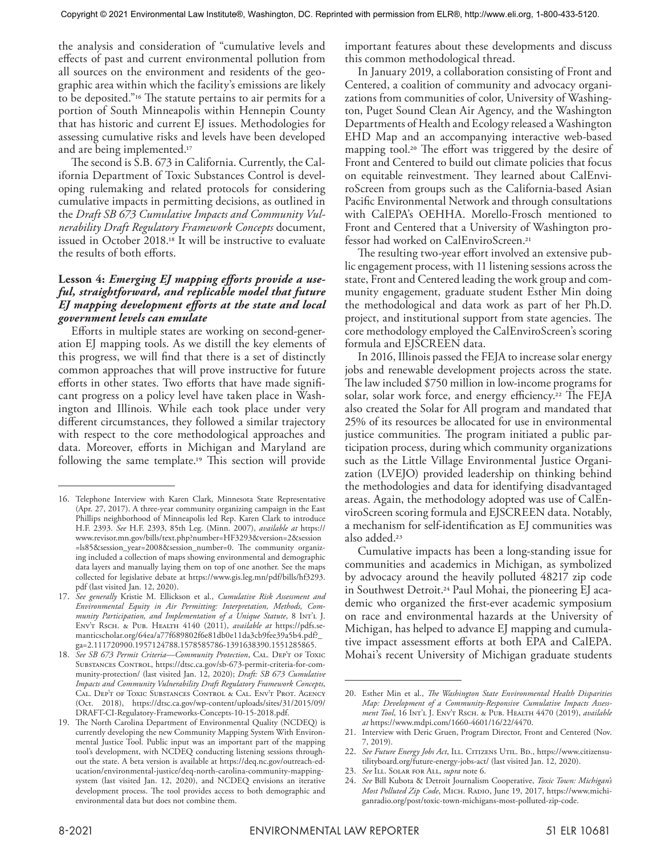the analysis and consideration of "cumulative levels and effects of past and current environmental pollution from all sources on the environment and residents of the geographic area within which the facility's emissions are likely to be deposited."16 The statute pertains to air permits for a portion of South Minneapolis within Hennepin County that has historic and current EJ issues. Methodologies for assessing cumulative risks and levels have been developed and are being implemented.17

The second is S.B. 673 in California. Currently, the California Department of Toxic Substances Control is developing rulemaking and related protocols for considering cumulative impacts in permitting decisions, as outlined in the *Draft SB 673 Cumulative Impacts and Community Vulnerability Draft Regulatory Framework Concepts* document, issued in October 2018.18 It will be instructive to evaluate the results of both efforts.

#### **Lesson 4:** *Emerging EJ mapping efforts provide a useful, straightforward, and replicable model that future EJ mapping development efforts at the state and local government levels can emulate*

Efforts in multiple states are working on second-generation EJ mapping tools. As we distill the key elements of this progress, we will find that there is a set of distinctly common approaches that will prove instructive for future efforts in other states. Two efforts that have made significant progress on a policy level have taken place in Washington and Illinois. While each took place under very different circumstances, they followed a similar trajectory with respect to the core methodological approaches and data. Moreover, efforts in Michigan and Maryland are following the same template.19 This section will provide

important features about these developments and discuss this common methodological thread.

In January 2019, a collaboration consisting of Front and Centered, a coalition of community and advocacy organizations from communities of color, University of Washington, Puget Sound Clean Air Agency, and the Washington Departments of Health and Ecology released a Washington EHD Map and an accompanying interactive web-based mapping tool.<sup>20</sup> The effort was triggered by the desire of Front and Centered to build out climate policies that focus on equitable reinvestment. They learned about CalEnviroScreen from groups such as the California-based Asian Pacific Environmental Network and through consultations with CalEPA's OEHHA. Morello-Frosch mentioned to Front and Centered that a University of Washington professor had worked on CalEnviroScreen.21

The resulting two-year effort involved an extensive public engagement process, with 11 listening sessions across the state, Front and Centered leading the work group and community engagement, graduate student Esther Min doing the methodological and data work as part of her Ph.D. project, and institutional support from state agencies. The core methodology employed the CalEnviroScreen's scoring formula and EJSCREEN data.

In 2016, Illinois passed the FEJA to increase solar energy jobs and renewable development projects across the state. The law included \$750 million in low-income programs for solar, solar work force, and energy efficiency.<sup>22</sup> The FEJA also created the Solar for All program and mandated that 25% of its resources be allocated for use in environmental justice communities. The program initiated a public participation process, during which community organizations such as the Little Village Environmental Justice Organization (LVEJO) provided leadership on thinking behind the methodologies and data for identifying disadvantaged areas. Again, the methodology adopted was use of CalEnviroScreen scoring formula and EJSCREEN data. Notably, a mechanism for self-identification as EJ communities was also added.23

Cumulative impacts has been a long-standing issue for communities and academics in Michigan, as symbolized by advocacy around the heavily polluted 48217 zip code in Southwest Detroit.24 Paul Mohai, the pioneering EJ academic who organized the first-ever academic symposium on race and environmental hazards at the University of Michigan, has helped to advance EJ mapping and cumulative impact assessment efforts at both EPA and CalEPA. Mohai's recent University of Michigan graduate students

23. *See* Ill. Solar for All, *supra* note 6.

<sup>16.</sup> Telephone Interview with Karen Clark, Minnesota State Representative (Apr. 27, 2017). A three-year community organizing campaign in the East Phillips neighborhood of Minneapolis led Rep. Karen Clark to introduce H.F. 2393. *See* H.F. 2393, 85th Leg. (Minn. 2007), *available at* https:// www.revisor.mn.gov/bills/text.php?number=HF3293&version=2&session =ls85&session\_year=2008&session\_number=0. The community organizing included a collection of maps showing environmental and demographic data layers and manually laying them on top of one another. See the maps collected for legislative debate at https://www.gis.leg.mn/pdf/bills/hf3293. pdf (last visited Jan. 12, 2020).

<sup>17.</sup> *See generally* Kristie M. Ellickson et al., *Cumulative Risk Assessment and Environmental Equity in Air Permitting: Interpretation, Methods, Community Participation, and Implementation of a Unique Statute*, 8 Int'l J. Env't Rsch. & Pub. Health 4140 (2011), *available at* https://pdfs.semanticscholar.org/64ea/a77f689802f6e81db0e11da3cb9fee39a5b4.pdf?\_ ga=2.111720900.1957124788.1578585786-1391638390.1551285865.

<sup>18.</sup> *See SB 673 Permit Criteria—Community Protection*, Cal. Dep't of Toxic SUBSTANCES CONTROL, https://dtsc.ca.gov/sb-673-permit-criteria-for-community-protection/ (last visited Jan. 12, 2020); *Draft: SB 673 Cumulative Impacts and Community Vulnerability Draft Regulatory Framework Concepts*, Cal. Dep't of Toxic Substances Control & Cal. Env't Prot. Agency (Oct. 2018), https://dtsc.ca.gov/wp-content/uploads/sites/31/2015/09/ DRAFT-CI-Regulatory-Frameworks-Concepts-10-15-2018.pdf.

<sup>19.</sup> The North Carolina Department of Environmental Quality (NCDEQ) is currently developing the new Community Mapping System With Environmental Justice Tool. Public input was an important part of the mapping tool's development, with NCDEQ conducting listening sessions throughout the state. A beta version is available at https://deq.nc.gov/outreach-education/environmental-justice/deq-north-carolina-community-mappingsystem (last visited Jan. 12, 2020), and NCDEQ envisions an iterative development process. The tool provides access to both demographic and environmental data but does not combine them.

<sup>20.</sup> Esther Min et al., *The Washington State Environmental Health Disparities Map: Development of a Community-Responsive Cumulative Impacts Assessment Tool*, 16 Int'l J. Env't Rsch. & Pub. Health 4470 (2019), *available at* https://www.mdpi.com/1660-4601/16/22/4470.

<sup>21.</sup> Interview with Deric Gruen, Program Director, Front and Centered (Nov. 7, 2019).

<sup>22.</sup> See Future Energy Jobs Act, ILL. CITIZENS UTIL. BD., https://www.citizensutilityboard.org/future-energy-jobs-act/ (last visited Jan. 12, 2020).

<sup>24.</sup> *See* Bill Kubota & Detroit Journalism Cooperative, *Toxic Town: Michigan's Most Polluted Zip Code*, Mich. Radio, June 19, 2017, https://www.michiganradio.org/post/toxic-town-michigans-most-polluted-zip-code.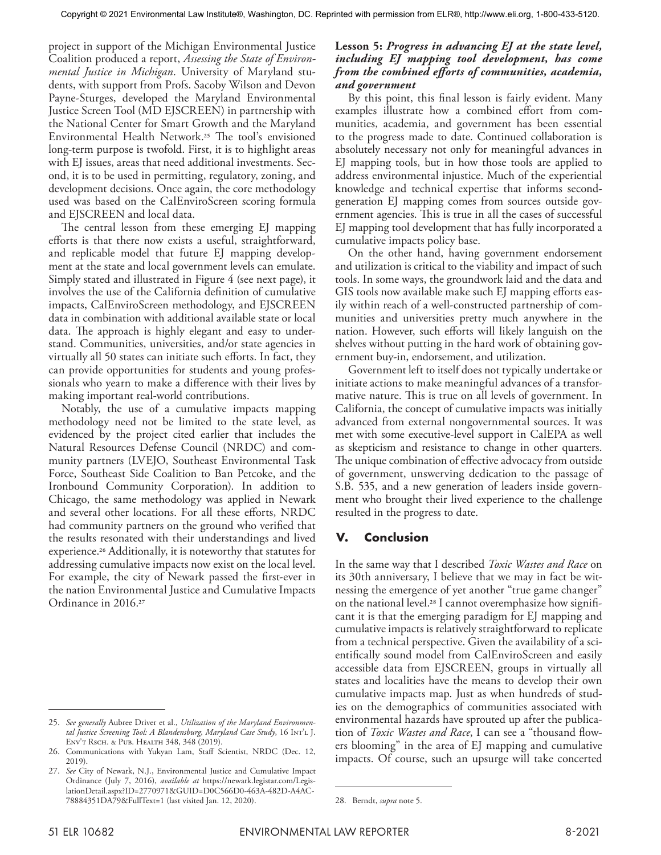project in support of the Michigan Environmental Justice Coalition produced a report, *Assessing the State of Environmental Justice in Michigan*. University of Maryland students, with support from Profs. Sacoby Wilson and Devon Payne-Sturges, developed the Maryland Environmental Justice Screen Tool (MD EJSCREEN) in partnership with the National Center for Smart Growth and the Maryland Environmental Health Network.25 The tool's envisioned long-term purpose is twofold. First, it is to highlight areas with EJ issues, areas that need additional investments. Second, it is to be used in permitting, regulatory, zoning, and development decisions. Once again, the core methodology used was based on the CalEnviroScreen scoring formula and EJSCREEN and local data.

The central lesson from these emerging EJ mapping efforts is that there now exists a useful, straightforward, and replicable model that future EJ mapping development at the state and local government levels can emulate. Simply stated and illustrated in Figure 4 (see next page), it involves the use of the California definition of cumulative impacts, CalEnviroScreen methodology, and EJSCREEN data in combination with additional available state or local data. The approach is highly elegant and easy to understand. Communities, universities, and/or state agencies in virtually all 50 states can initiate such efforts. In fact, they can provide opportunities for students and young professionals who yearn to make a difference with their lives by making important real-world contributions.

Notably, the use of a cumulative impacts mapping methodology need not be limited to the state level, as evidenced by the project cited earlier that includes the Natural Resources Defense Council (NRDC) and community partners (LVEJO, Southeast Environmental Task Force, Southeast Side Coalition to Ban Petcoke, and the Ironbound Community Corporation). In addition to Chicago, the same methodology was applied in Newark and several other locations. For all these efforts, NRDC had community partners on the ground who verified that the results resonated with their understandings and lived experience.26 Additionally, it is noteworthy that statutes for addressing cumulative impacts now exist on the local level. For example, the city of Newark passed the first-ever in the nation Environmental Justice and Cumulative Impacts Ordinance in 2016.27

#### **Lesson 5:** *Progress in advancing EJ at the state level, including EJ mapping tool development, has come from the combined efforts of communities, academia, and government*

By this point, this final lesson is fairly evident. Many examples illustrate how a combined effort from communities, academia, and government has been essential to the progress made to date. Continued collaboration is absolutely necessary not only for meaningful advances in EJ mapping tools, but in how those tools are applied to address environmental injustice. Much of the experiential knowledge and technical expertise that informs secondgeneration EJ mapping comes from sources outside government agencies. This is true in all the cases of successful EJ mapping tool development that has fully incorporated a cumulative impacts policy base.

On the other hand, having government endorsement and utilization is critical to the viability and impact of such tools. In some ways, the groundwork laid and the data and GIS tools now available make such EJ mapping efforts easily within reach of a well-constructed partnership of communities and universities pretty much anywhere in the nation. However, such efforts will likely languish on the shelves without putting in the hard work of obtaining government buy-in, endorsement, and utilization.

Government left to itself does not typically undertake or initiate actions to make meaningful advances of a transformative nature. This is true on all levels of government. In California, the concept of cumulative impacts was initially advanced from external nongovernmental sources. It was met with some executive-level support in CalEPA as well as skepticism and resistance to change in other quarters. The unique combination of effective advocacy from outside of government, unswerving dedication to the passage of S.B. 535, and a new generation of leaders inside government who brought their lived experience to the challenge resulted in the progress to date.

# **V. Conclusion**

In the same way that I described *Toxic Wastes and Race* on its 30th anniversary, I believe that we may in fact be witnessing the emergence of yet another "true game changer" on the national level.28 I cannot overemphasize how significant it is that the emerging paradigm for EJ mapping and cumulative impacts is relatively straightforward to replicate from a technical perspective. Given the availability of a scientifically sound model from CalEnviroScreen and easily accessible data from EJSCREEN, groups in virtually all states and localities have the means to develop their own cumulative impacts map. Just as when hundreds of studies on the demographics of communities associated with environmental hazards have sprouted up after the publication of *Toxic Wastes and Race*, I can see a "thousand flowers blooming" in the area of EJ mapping and cumulative impacts. Of course, such an upsurge will take concerted

<sup>25.</sup> *See generally* Aubree Driver et al., *Utilization of the Maryland Environmental Justice Screening Tool: A Blandensburg, Maryland Case Study*, 16 Int'l J. Env't Rsch. & Pub. Health 348, 348 (2019).

<sup>26.</sup> Communications with Yukyan Lam, Staff Scientist, NRDC (Dec. 12, 2019).

<sup>27.</sup> *See* City of Newark, N.J., Environmental Justice and Cumulative Impact Ordinance (July 7, 2016), *available at* https://newark.legistar.com/LegislationDetail.aspx?ID=2770971&GUID=D0C566D0-463A-482D-A4AC-78884351DA79&FullText=1 (last visited Jan. 12, 2020).

<sup>28.</sup> Berndt, *supra* note 5.